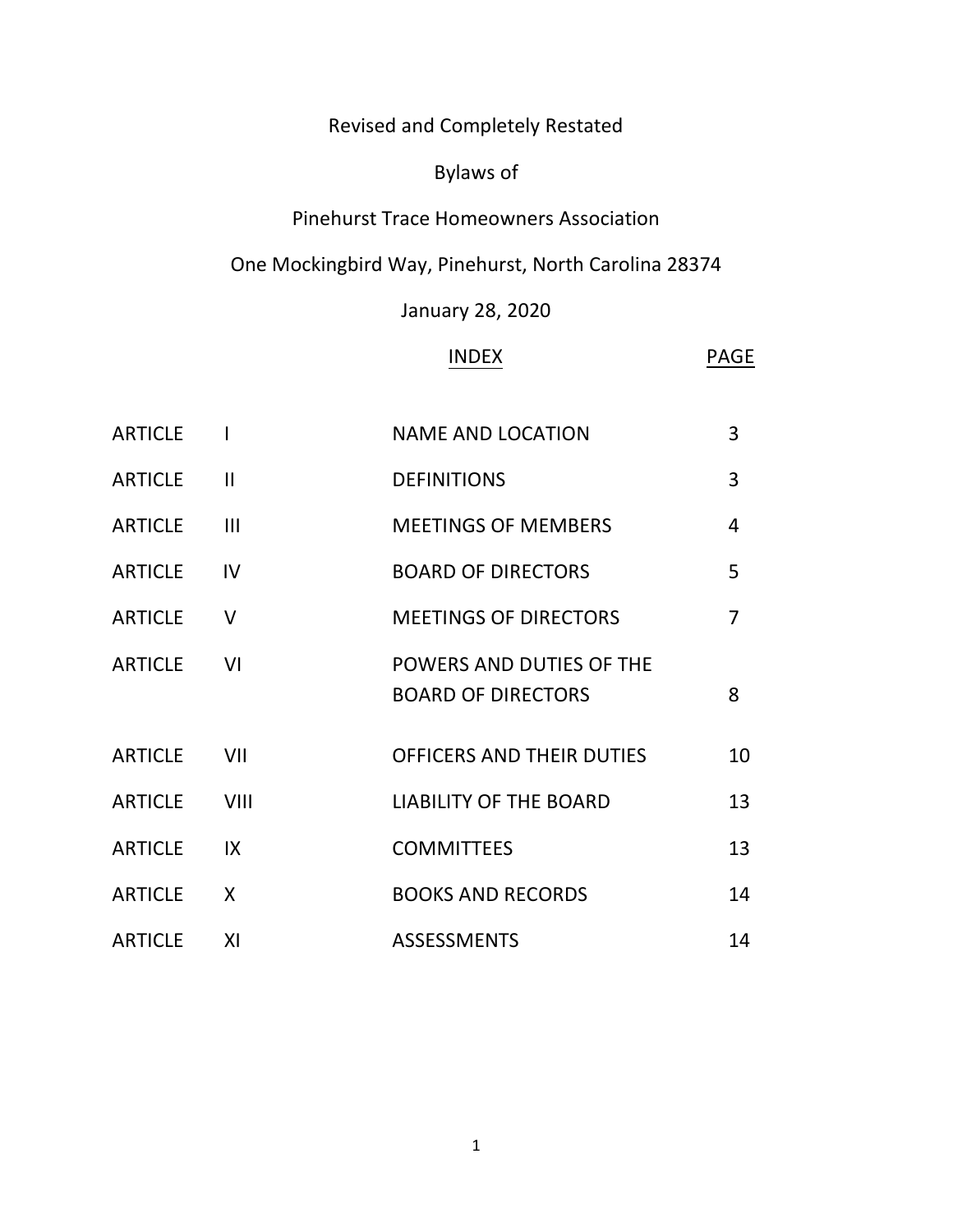# Revised and Completely Restated

# Bylaws of

### Pinehurst Trace Homeowners Association

### One Mockingbird Way, Pinehurst, North Carolina 28374

### January 28, 2020

### INDEX PAGE

| <b>ARTICLE</b> |               | <b>NAME AND LOCATION</b>                              | $\overline{3}$ |
|----------------|---------------|-------------------------------------------------------|----------------|
| <b>ARTICLE</b> | $\mathbf{II}$ | <b>DEFINITIONS</b>                                    | $\overline{3}$ |
| <b>ARTICLE</b> | III           | <b>MEETINGS OF MEMBERS</b>                            | 4              |
| <b>ARTICLE</b> | IV            | <b>BOARD OF DIRECTORS</b>                             | 5              |
| <b>ARTICLE</b> | $\vee$        | <b>MEETINGS OF DIRECTORS</b>                          | $\overline{7}$ |
| <b>ARTICLE</b> | VI            | POWERS AND DUTIES OF THE<br><b>BOARD OF DIRECTORS</b> | 8              |
| <b>ARTICLE</b> | VII           | OFFICERS AND THEIR DUTIES                             | 10             |
| <b>ARTICLE</b> | VIII          | <b>LIABILITY OF THE BOARD</b>                         | 13             |
| <b>ARTICLE</b> | IX            | <b>COMMITTEES</b>                                     | 13             |
| <b>ARTICLE</b> | X             | <b>BOOKS AND RECORDS</b>                              | 14             |
| <b>ARTICLE</b> | XI            | <b>ASSESSMENTS</b>                                    | 14             |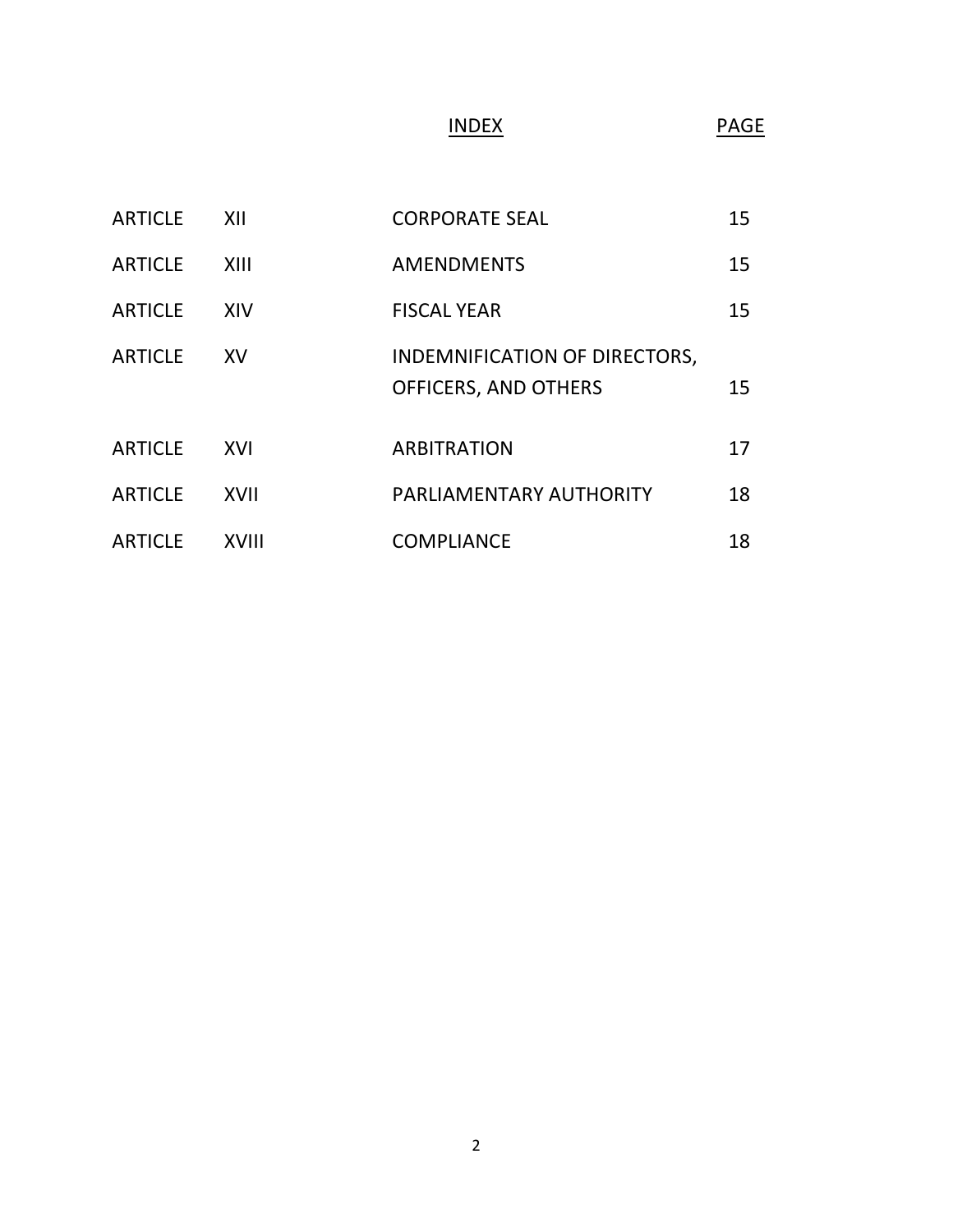# INDEX PAGE

| <b>ARTICLE</b> | XII          | <b>CORPORATE SEAL</b>                                        | 15 |
|----------------|--------------|--------------------------------------------------------------|----|
| <b>ARTICLE</b> | XIII         | <b>AMENDMENTS</b>                                            | 15 |
| <b>ARTICLE</b> | XIV          | <b>FISCAL YEAR</b>                                           | 15 |
| <b>ARTICLE</b> | <b>XV</b>    | INDEMNIFICATION OF DIRECTORS,<br><b>OFFICERS, AND OTHERS</b> | 15 |
| <b>ARTICLE</b> | XVI          | <b>ARBITRATION</b>                                           | 17 |
| <b>ARTICLE</b> | <b>XVII</b>  | PARLIAMENTARY AUTHORITY                                      | 18 |
| <b>ARTICLE</b> | <b>XVIII</b> | <b>COMPLIANCE</b>                                            | 18 |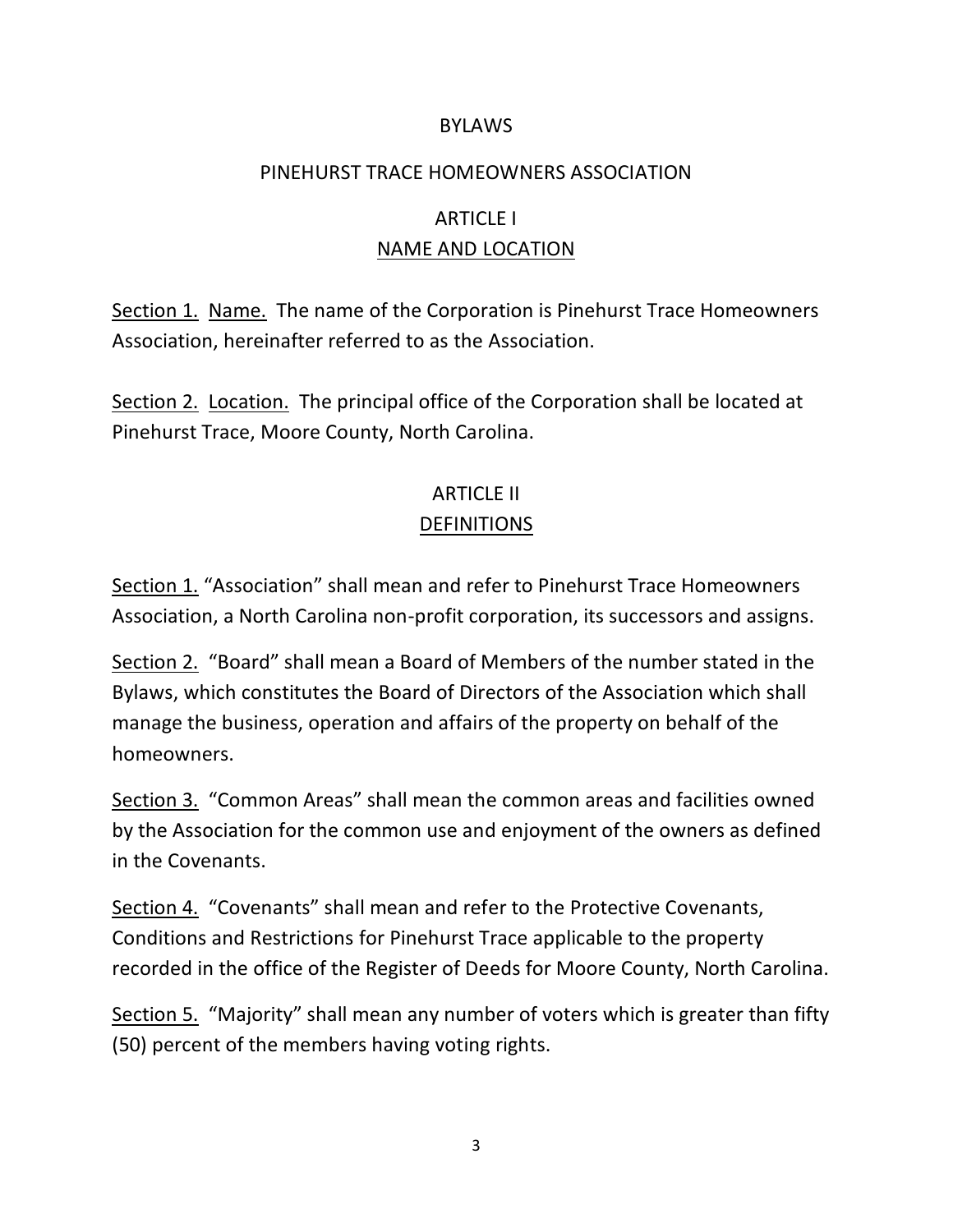#### BYLAWS

#### PINEHURST TRACE HOMEOWNERS ASSOCIATION

### ARTICLE I NAME AND LOCATION

Section 1. Name. The name of the Corporation is Pinehurst Trace Homeowners Association, hereinafter referred to as the Association.

Section 2. Location. The principal office of the Corporation shall be located at Pinehurst Trace, Moore County, North Carolina.

### ARTICLE II DEFINITIONS

Section 1. "Association" shall mean and refer to Pinehurst Trace Homeowners Association, a North Carolina non-profit corporation, its successors and assigns.

Section 2. "Board" shall mean a Board of Members of the number stated in the Bylaws, which constitutes the Board of Directors of the Association which shall manage the business, operation and affairs of the property on behalf of the homeowners.

Section 3. "Common Areas" shall mean the common areas and facilities owned by the Association for the common use and enjoyment of the owners as defined in the Covenants.

Section 4. "Covenants" shall mean and refer to the Protective Covenants, Conditions and Restrictions for Pinehurst Trace applicable to the property recorded in the office of the Register of Deeds for Moore County, North Carolina.

Section 5. "Majority" shall mean any number of voters which is greater than fifty (50) percent of the members having voting rights.

3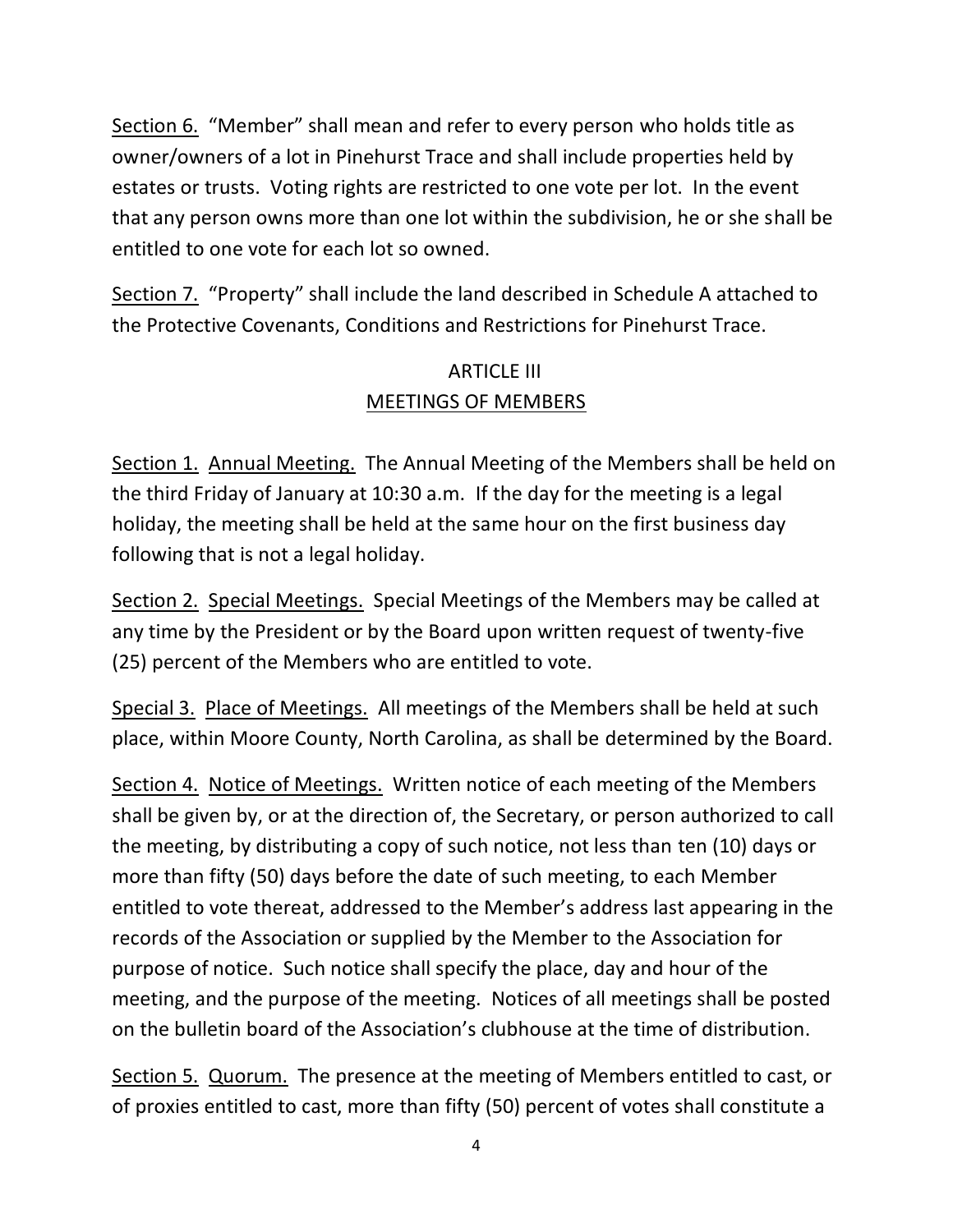Section 6. "Member" shall mean and refer to every person who holds title as owner/owners of a lot in Pinehurst Trace and shall include properties held by estates or trusts. Voting rights are restricted to one vote per lot. In the event that any person owns more than one lot within the subdivision, he or she shall be entitled to one vote for each lot so owned.

Section 7. "Property" shall include the land described in Schedule A attached to the Protective Covenants, Conditions and Restrictions for Pinehurst Trace.

# ARTICLE III MEETINGS OF MEMBERS

Section 1. Annual Meeting. The Annual Meeting of the Members shall be held on the third Friday of January at 10:30 a.m. If the day for the meeting is a legal holiday, the meeting shall be held at the same hour on the first business day following that is not a legal holiday.

Section 2. Special Meetings. Special Meetings of the Members may be called at any time by the President or by the Board upon written request of twenty-five (25) percent of the Members who are entitled to vote.

Special 3. Place of Meetings. All meetings of the Members shall be held at such place, within Moore County, North Carolina, as shall be determined by the Board.

Section 4. Notice of Meetings. Written notice of each meeting of the Members shall be given by, or at the direction of, the Secretary, or person authorized to call the meeting, by distributing a copy of such notice, not less than ten (10) days or more than fifty (50) days before the date of such meeting, to each Member entitled to vote thereat, addressed to the Member's address last appearing in the records of the Association or supplied by the Member to the Association for purpose of notice. Such notice shall specify the place, day and hour of the meeting, and the purpose of the meeting. Notices of all meetings shall be posted on the bulletin board of the Association's clubhouse at the time of distribution.

Section 5. Quorum. The presence at the meeting of Members entitled to cast, or of proxies entitled to cast, more than fifty (50) percent of votes shall constitute a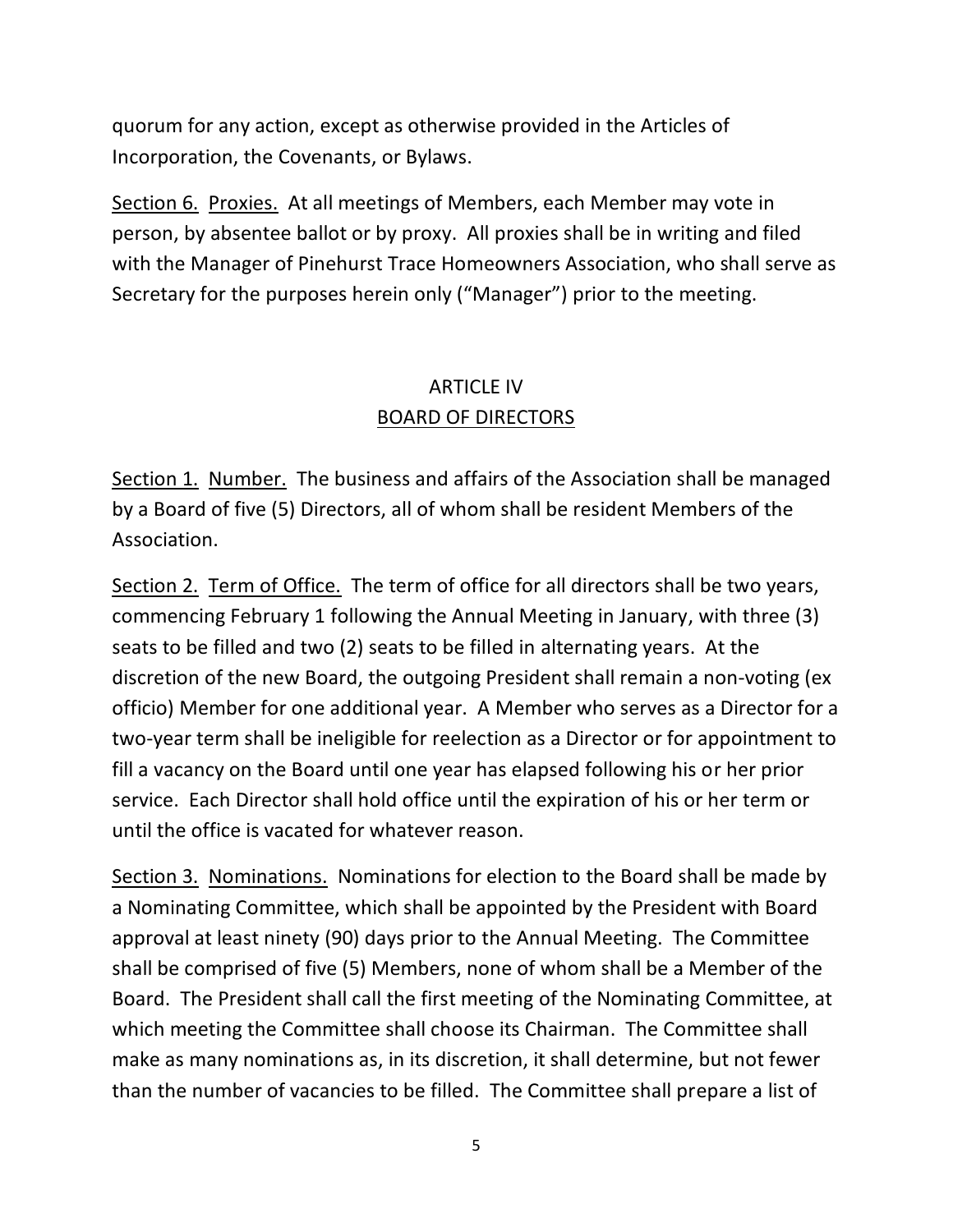quorum for any action, except as otherwise provided in the Articles of Incorporation, the Covenants, or Bylaws.

Section 6. Proxies. At all meetings of Members, each Member may vote in person, by absentee ballot or by proxy. All proxies shall be in writing and filed with the Manager of Pinehurst Trace Homeowners Association, who shall serve as Secretary for the purposes herein only ("Manager") prior to the meeting.

# ARTICLE IV BOARD OF DIRECTORS

Section 1. Number. The business and affairs of the Association shall be managed by a Board of five (5) Directors, all of whom shall be resident Members of the Association.

Section 2. Term of Office. The term of office for all directors shall be two years, commencing February 1 following the Annual Meeting in January, with three (3) seats to be filled and two (2) seats to be filled in alternating years. At the discretion of the new Board, the outgoing President shall remain a non-voting (ex officio) Member for one additional year. A Member who serves as a Director for a two-year term shall be ineligible for reelection as a Director or for appointment to fill a vacancy on the Board until one year has elapsed following his or her prior service. Each Director shall hold office until the expiration of his or her term or until the office is vacated for whatever reason.

Section 3. Nominations. Nominations for election to the Board shall be made by a Nominating Committee, which shall be appointed by the President with Board approval at least ninety (90) days prior to the Annual Meeting. The Committee shall be comprised of five (5) Members, none of whom shall be a Member of the Board. The President shall call the first meeting of the Nominating Committee, at which meeting the Committee shall choose its Chairman. The Committee shall make as many nominations as, in its discretion, it shall determine, but not fewer than the number of vacancies to be filled. The Committee shall prepare a list of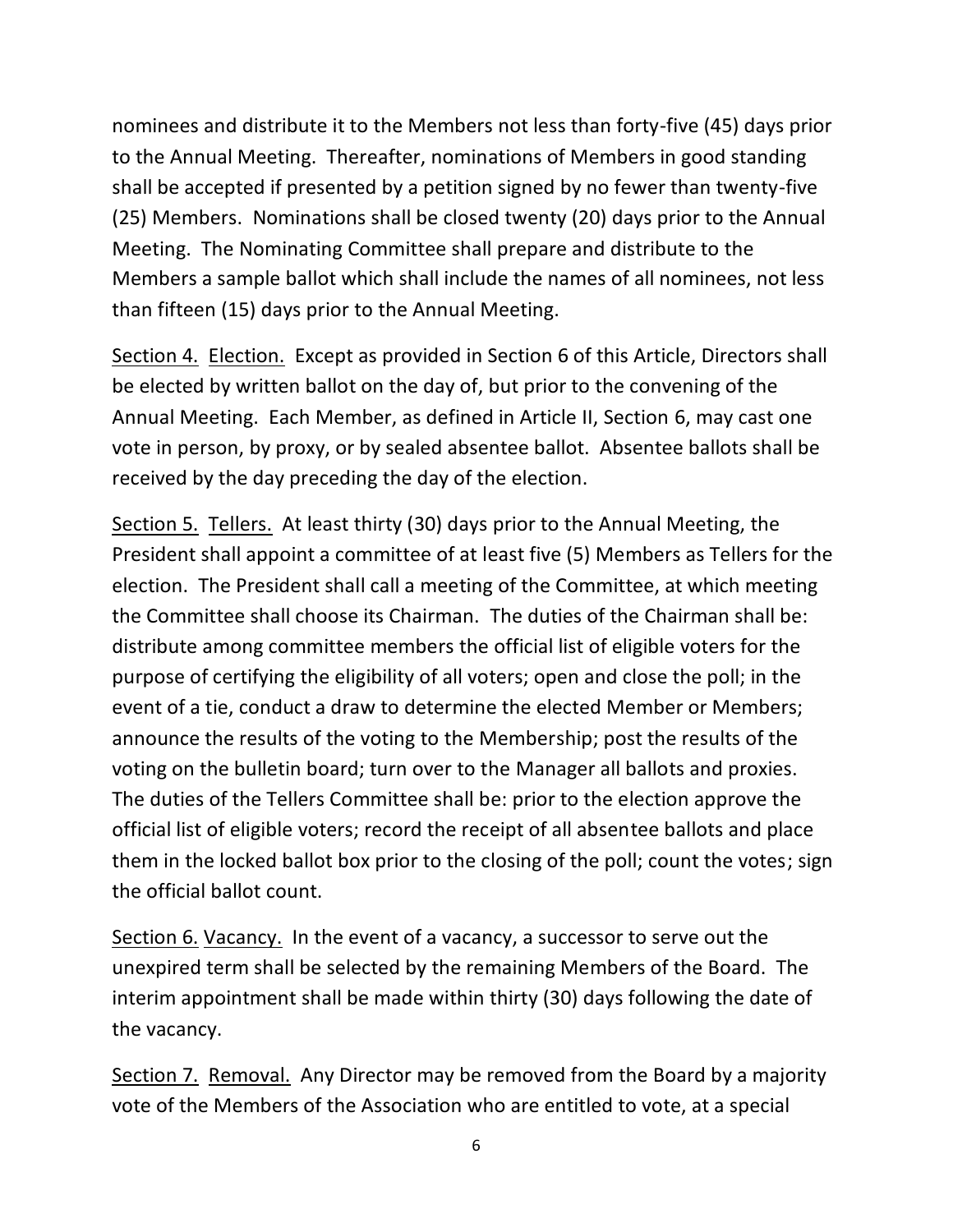nominees and distribute it to the Members not less than forty-five (45) days prior to the Annual Meeting. Thereafter, nominations of Members in good standing shall be accepted if presented by a petition signed by no fewer than twenty-five (25) Members. Nominations shall be closed twenty (20) days prior to the Annual Meeting. The Nominating Committee shall prepare and distribute to the Members a sample ballot which shall include the names of all nominees, not less than fifteen (15) days prior to the Annual Meeting.

Section 4. Election. Except as provided in Section 6 of this Article, Directors shall be elected by written ballot on the day of, but prior to the convening of the Annual Meeting. Each Member, as defined in Article II, Section 6, may cast one vote in person, by proxy, or by sealed absentee ballot. Absentee ballots shall be received by the day preceding the day of the election.

Section 5. Tellers. At least thirty (30) days prior to the Annual Meeting, the President shall appoint a committee of at least five (5) Members as Tellers for the election. The President shall call a meeting of the Committee, at which meeting the Committee shall choose its Chairman. The duties of the Chairman shall be: distribute among committee members the official list of eligible voters for the purpose of certifying the eligibility of all voters; open and close the poll; in the event of a tie, conduct a draw to determine the elected Member or Members; announce the results of the voting to the Membership; post the results of the voting on the bulletin board; turn over to the Manager all ballots and proxies. The duties of the Tellers Committee shall be: prior to the election approve the official list of eligible voters; record the receipt of all absentee ballots and place them in the locked ballot box prior to the closing of the poll; count the votes; sign the official ballot count.

Section 6. Vacancy. In the event of a vacancy, a successor to serve out the unexpired term shall be selected by the remaining Members of the Board. The interim appointment shall be made within thirty (30) days following the date of the vacancy.

Section 7. Removal. Any Director may be removed from the Board by a majority vote of the Members of the Association who are entitled to vote, at a special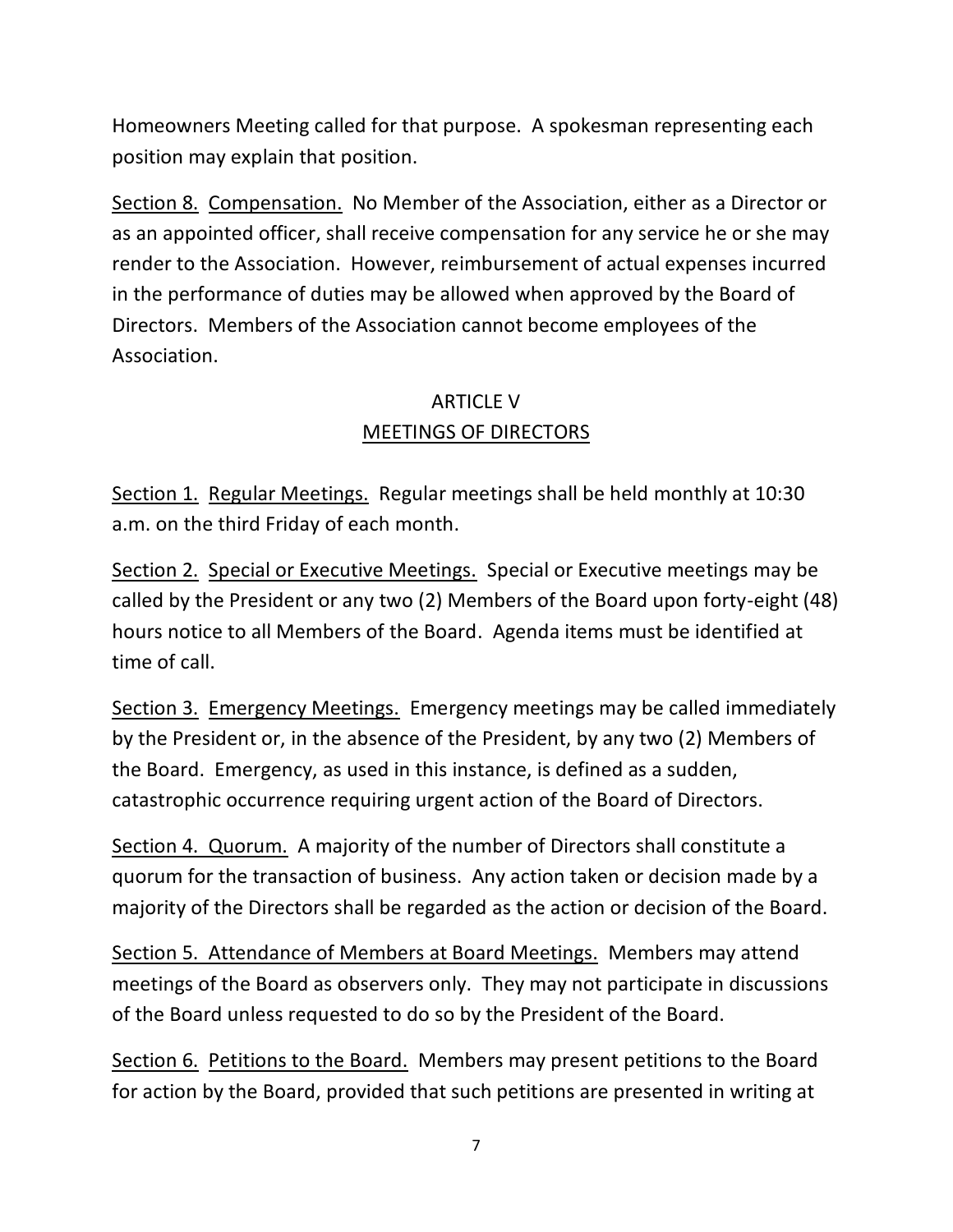Homeowners Meeting called for that purpose. A spokesman representing each position may explain that position.

Section 8. Compensation. No Member of the Association, either as a Director or as an appointed officer, shall receive compensation for any service he or she may render to the Association. However, reimbursement of actual expenses incurred in the performance of duties may be allowed when approved by the Board of Directors. Members of the Association cannot become employees of the Association.

# ARTICLE V MEETINGS OF DIRECTORS

Section 1. Regular Meetings. Regular meetings shall be held monthly at 10:30 a.m. on the third Friday of each month.

Section 2. Special or Executive Meetings. Special or Executive meetings may be called by the President or any two (2) Members of the Board upon forty-eight (48) hours notice to all Members of the Board. Agenda items must be identified at time of call.

Section 3. Emergency Meetings. Emergency meetings may be called immediately by the President or, in the absence of the President, by any two (2) Members of the Board. Emergency, as used in this instance, is defined as a sudden, catastrophic occurrence requiring urgent action of the Board of Directors.

Section 4. Quorum. A majority of the number of Directors shall constitute a quorum for the transaction of business. Any action taken or decision made by a majority of the Directors shall be regarded as the action or decision of the Board.

Section 5. Attendance of Members at Board Meetings. Members may attend meetings of the Board as observers only. They may not participate in discussions of the Board unless requested to do so by the President of the Board.

Section 6. Petitions to the Board. Members may present petitions to the Board for action by the Board, provided that such petitions are presented in writing at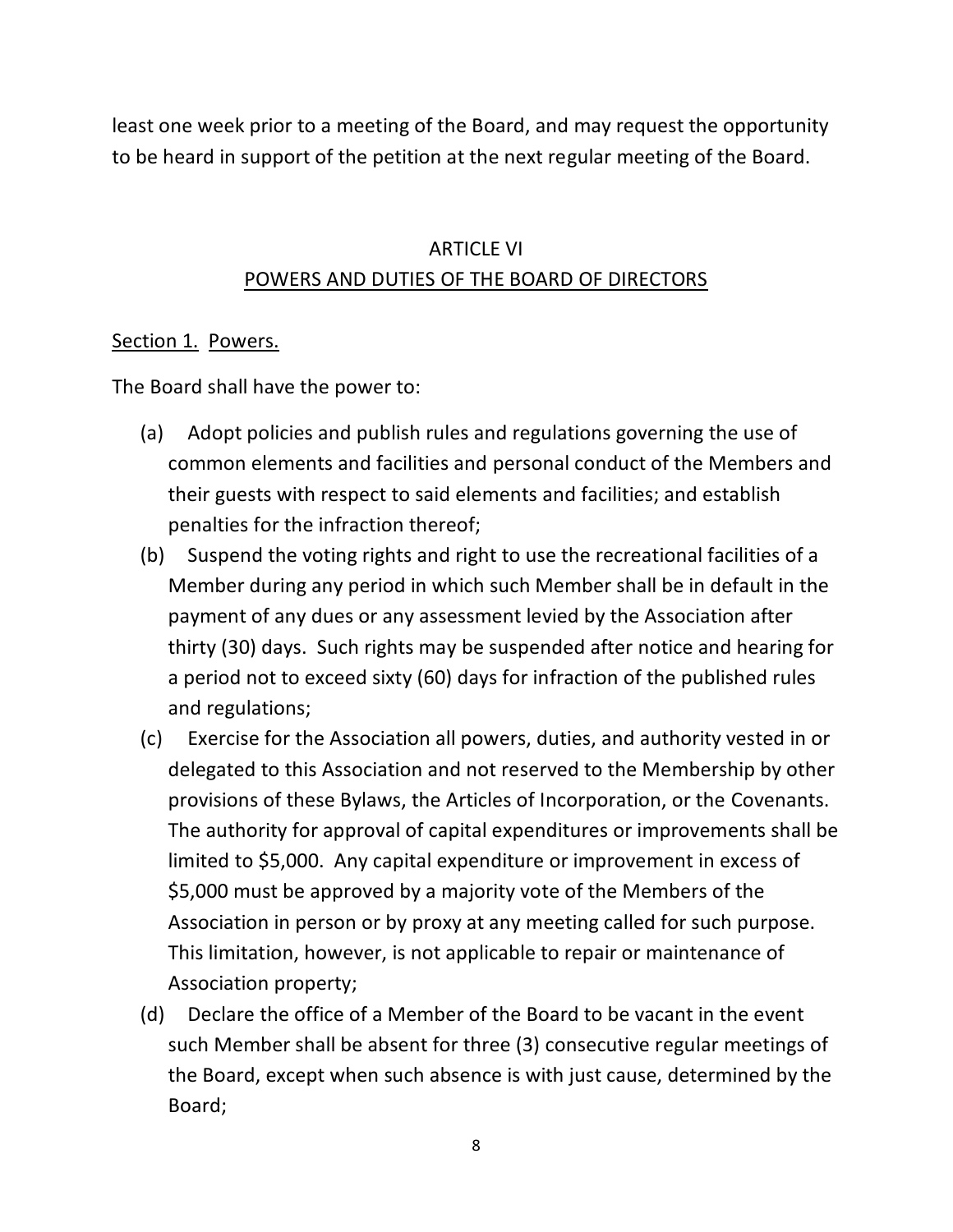least one week prior to a meeting of the Board, and may request the opportunity to be heard in support of the petition at the next regular meeting of the Board.

### ARTICLE VI POWERS AND DUTIES OF THE BOARD OF DIRECTORS

#### Section 1. Powers.

The Board shall have the power to:

- (a) Adopt policies and publish rules and regulations governing the use of common elements and facilities and personal conduct of the Members and their guests with respect to said elements and facilities; and establish penalties for the infraction thereof;
- (b) Suspend the voting rights and right to use the recreational facilities of a Member during any period in which such Member shall be in default in the payment of any dues or any assessment levied by the Association after thirty (30) days. Such rights may be suspended after notice and hearing for a period not to exceed sixty (60) days for infraction of the published rules and regulations;
- (c) Exercise for the Association all powers, duties, and authority vested in or delegated to this Association and not reserved to the Membership by other provisions of these Bylaws, the Articles of Incorporation, or the Covenants. The authority for approval of capital expenditures or improvements shall be limited to \$5,000. Any capital expenditure or improvement in excess of \$5,000 must be approved by a majority vote of the Members of the Association in person or by proxy at any meeting called for such purpose. This limitation, however, is not applicable to repair or maintenance of Association property;
- (d) Declare the office of a Member of the Board to be vacant in the event such Member shall be absent for three (3) consecutive regular meetings of the Board, except when such absence is with just cause, determined by the Board;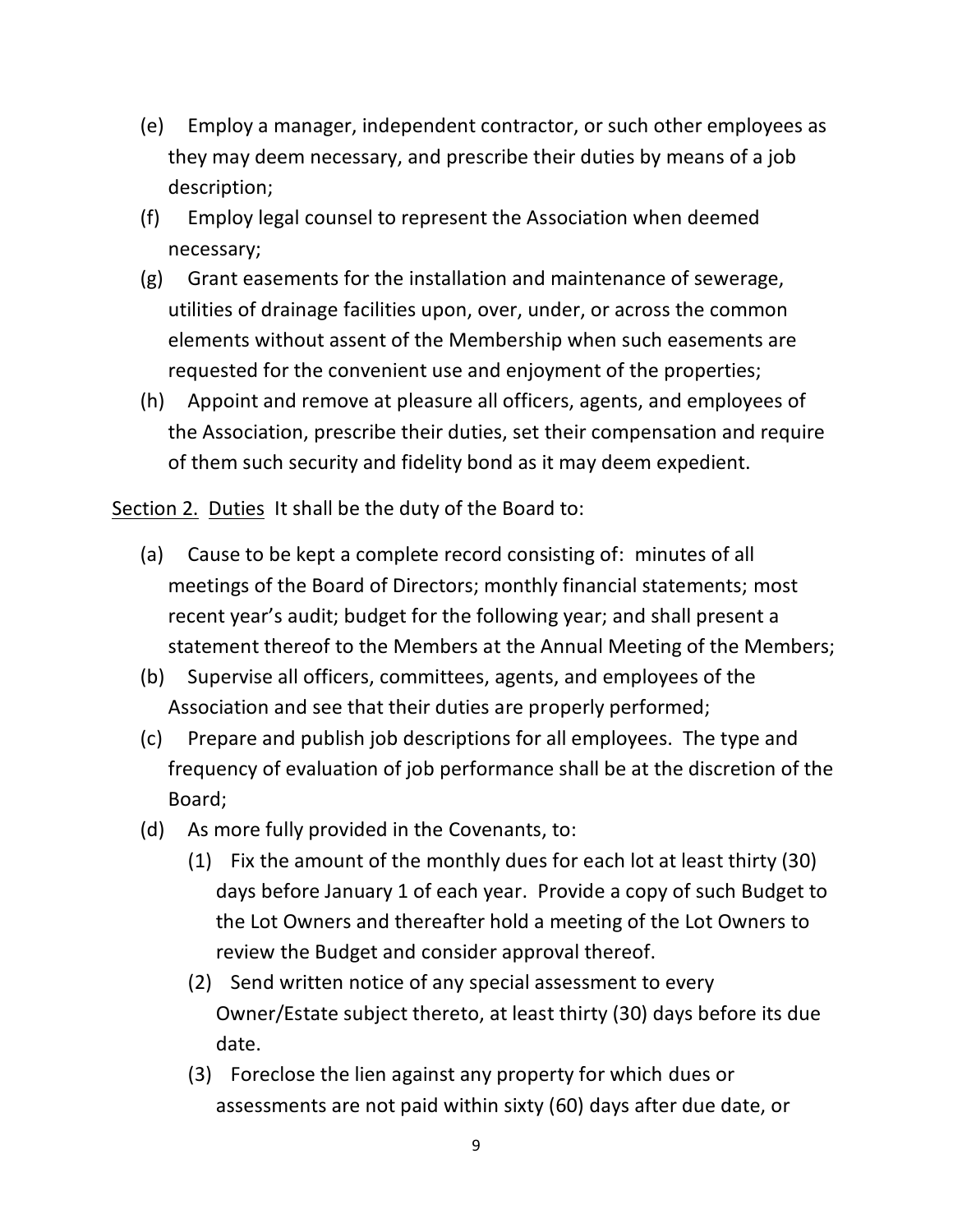- (e) Employ a manager, independent contractor, or such other employees as they may deem necessary, and prescribe their duties by means of a job description;
- (f) Employ legal counsel to represent the Association when deemed necessary;
- (g) Grant easements for the installation and maintenance of sewerage, utilities of drainage facilities upon, over, under, or across the common elements without assent of the Membership when such easements are requested for the convenient use and enjoyment of the properties;
- (h) Appoint and remove at pleasure all officers, agents, and employees of the Association, prescribe their duties, set their compensation and require of them such security and fidelity bond as it may deem expedient.

Section 2. Duties It shall be the duty of the Board to:

- (a) Cause to be kept a complete record consisting of: minutes of all meetings of the Board of Directors; monthly financial statements; most recent year's audit; budget for the following year; and shall present a statement thereof to the Members at the Annual Meeting of the Members;
- (b) Supervise all officers, committees, agents, and employees of the Association and see that their duties are properly performed;
- (c) Prepare and publish job descriptions for all employees. The type and frequency of evaluation of job performance shall be at the discretion of the Board;
- (d) As more fully provided in the Covenants, to:
	- (1) Fix the amount of the monthly dues for each lot at least thirty (30) days before January 1 of each year. Provide a copy of such Budget to the Lot Owners and thereafter hold a meeting of the Lot Owners to review the Budget and consider approval thereof.
	- (2) Send written notice of any special assessment to every Owner/Estate subject thereto, at least thirty (30) days before its due date.
	- (3) Foreclose the lien against any property for which dues or assessments are not paid within sixty (60) days after due date, or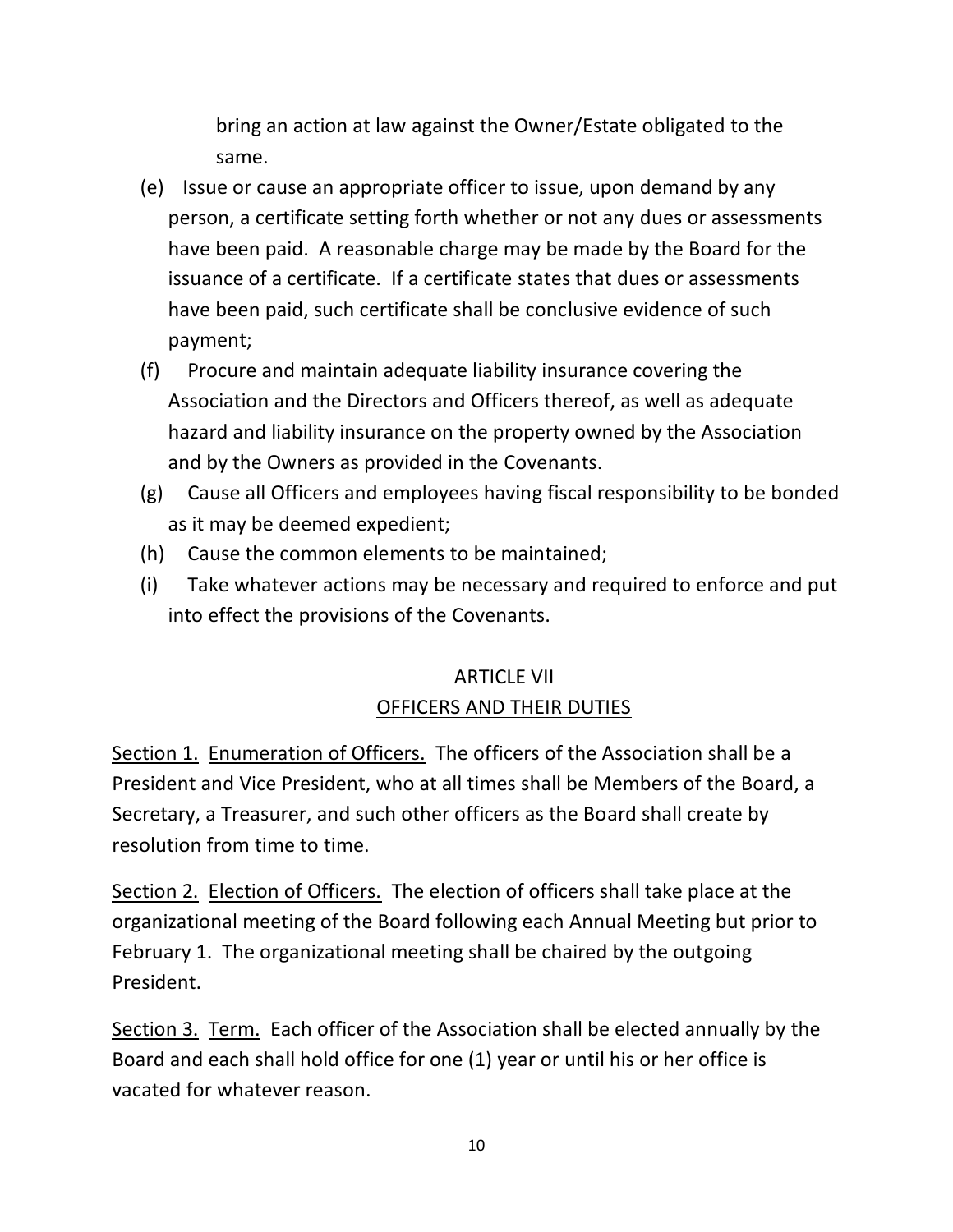bring an action at law against the Owner/Estate obligated to the same.

- (e) Issue or cause an appropriate officer to issue, upon demand by any person, a certificate setting forth whether or not any dues or assessments have been paid. A reasonable charge may be made by the Board for the issuance of a certificate. If a certificate states that dues or assessments have been paid, such certificate shall be conclusive evidence of such payment;
- (f) Procure and maintain adequate liability insurance covering the Association and the Directors and Officers thereof, as well as adequate hazard and liability insurance on the property owned by the Association and by the Owners as provided in the Covenants.
- (g) Cause all Officers and employees having fiscal responsibility to be bonded as it may be deemed expedient;
- (h) Cause the common elements to be maintained;
- (i) Take whatever actions may be necessary and required to enforce and put into effect the provisions of the Covenants.

# ARTICLE VII OFFICERS AND THEIR DUTIES

Section 1. Enumeration of Officers. The officers of the Association shall be a President and Vice President, who at all times shall be Members of the Board, a Secretary, a Treasurer, and such other officers as the Board shall create by resolution from time to time.

Section 2. Election of Officers. The election of officers shall take place at the organizational meeting of the Board following each Annual Meeting but prior to February 1. The organizational meeting shall be chaired by the outgoing President.

Section 3. Term. Each officer of the Association shall be elected annually by the Board and each shall hold office for one (1) year or until his or her office is vacated for whatever reason.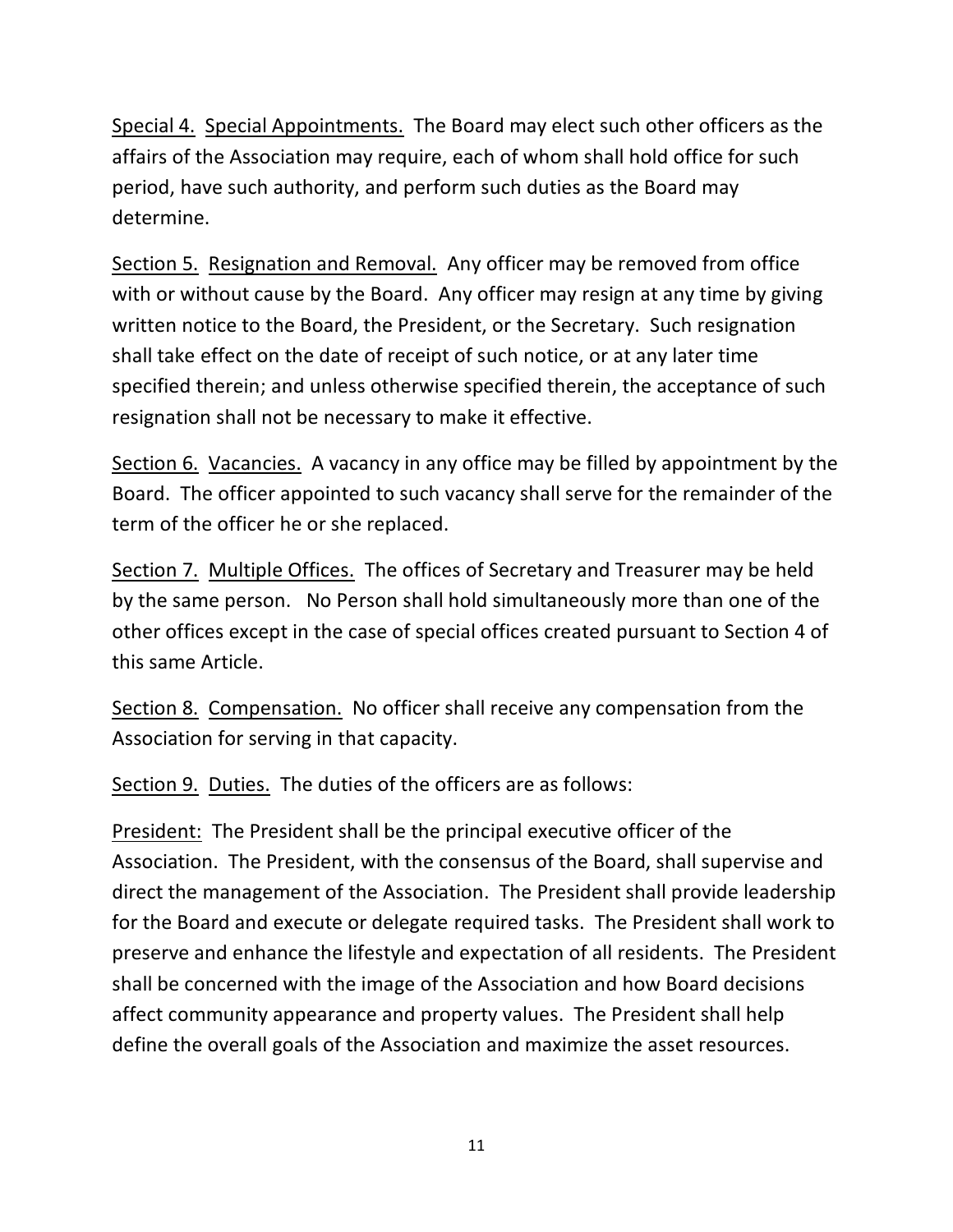Special 4. Special Appointments. The Board may elect such other officers as the affairs of the Association may require, each of whom shall hold office for such period, have such authority, and perform such duties as the Board may determine.

Section 5. Resignation and Removal. Any officer may be removed from office with or without cause by the Board. Any officer may resign at any time by giving written notice to the Board, the President, or the Secretary. Such resignation shall take effect on the date of receipt of such notice, or at any later time specified therein; and unless otherwise specified therein, the acceptance of such resignation shall not be necessary to make it effective.

Section 6. Vacancies. A vacancy in any office may be filled by appointment by the Board. The officer appointed to such vacancy shall serve for the remainder of the term of the officer he or she replaced.

Section 7. Multiple Offices. The offices of Secretary and Treasurer may be held by the same person. No Person shall hold simultaneously more than one of the other offices except in the case of special offices created pursuant to Section 4 of this same Article.

Section 8. Compensation. No officer shall receive any compensation from the Association for serving in that capacity.

Section 9. Duties. The duties of the officers are as follows:

President: The President shall be the principal executive officer of the Association. The President, with the consensus of the Board, shall supervise and direct the management of the Association. The President shall provide leadership for the Board and execute or delegate required tasks. The President shall work to preserve and enhance the lifestyle and expectation of all residents. The President shall be concerned with the image of the Association and how Board decisions affect community appearance and property values. The President shall help define the overall goals of the Association and maximize the asset resources.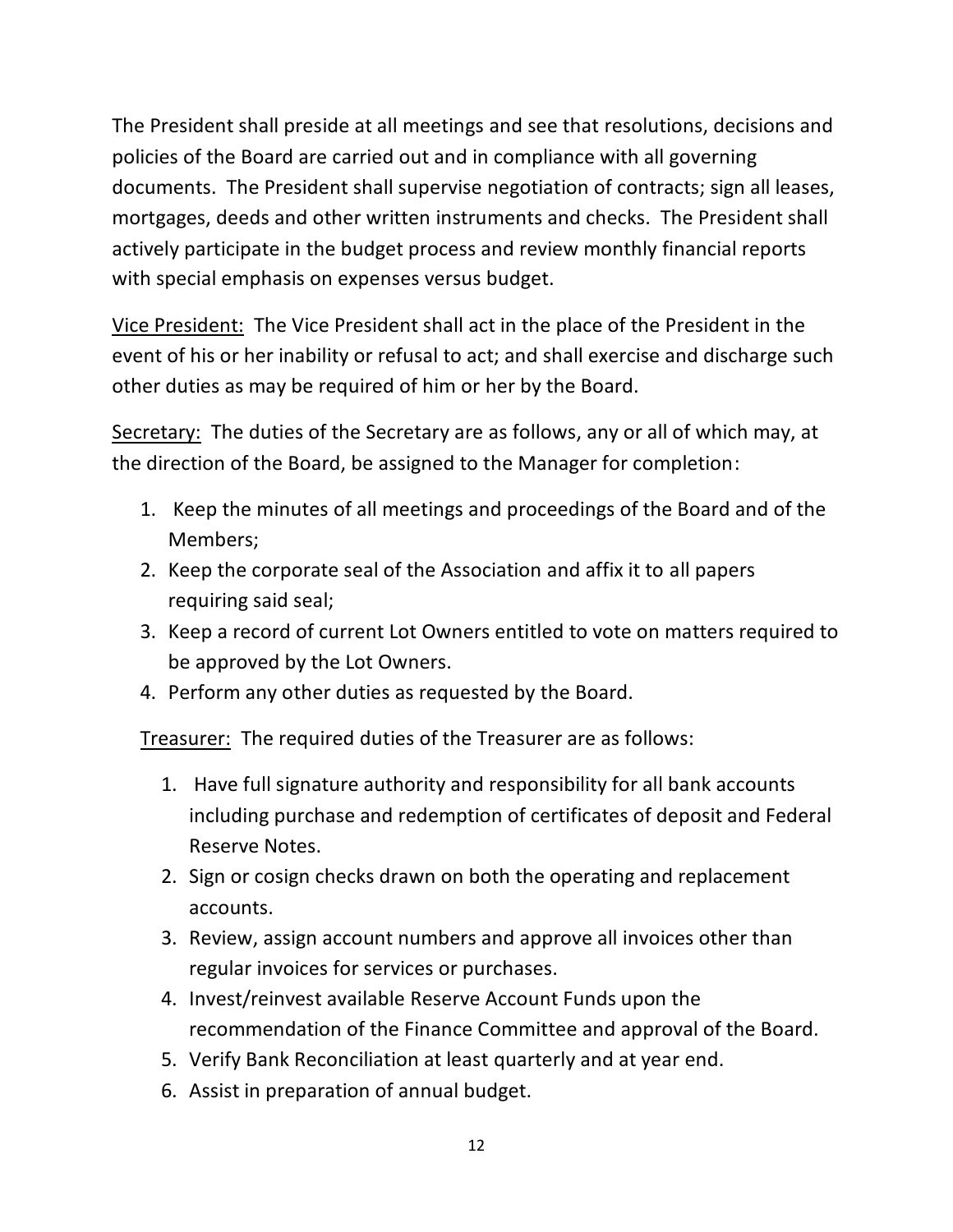The President shall preside at all meetings and see that resolutions, decisions and policies of the Board are carried out and in compliance with all governing documents. The President shall supervise negotiation of contracts; sign all leases, mortgages, deeds and other written instruments and checks. The President shall actively participate in the budget process and review monthly financial reports with special emphasis on expenses versus budget.

Vice President: The Vice President shall act in the place of the President in the event of his or her inability or refusal to act; and shall exercise and discharge such other duties as may be required of him or her by the Board.

Secretary: The duties of the Secretary are as follows, any or all of which may, at the direction of the Board, be assigned to the Manager for completion:

- 1. Keep the minutes of all meetings and proceedings of the Board and of the Members;
- 2. Keep the corporate seal of the Association and affix it to all papers requiring said seal;
- 3. Keep a record of current Lot Owners entitled to vote on matters required to be approved by the Lot Owners.
- 4. Perform any other duties as requested by the Board.

Treasurer: The required duties of the Treasurer are as follows:

- 1. Have full signature authority and responsibility for all bank accounts including purchase and redemption of certificates of deposit and Federal Reserve Notes.
- 2. Sign or cosign checks drawn on both the operating and replacement accounts.
- 3. Review, assign account numbers and approve all invoices other than regular invoices for services or purchases.
- 4. Invest/reinvest available Reserve Account Funds upon the recommendation of the Finance Committee and approval of the Board.
- 5. Verify Bank Reconciliation at least quarterly and at year end.
- 6. Assist in preparation of annual budget.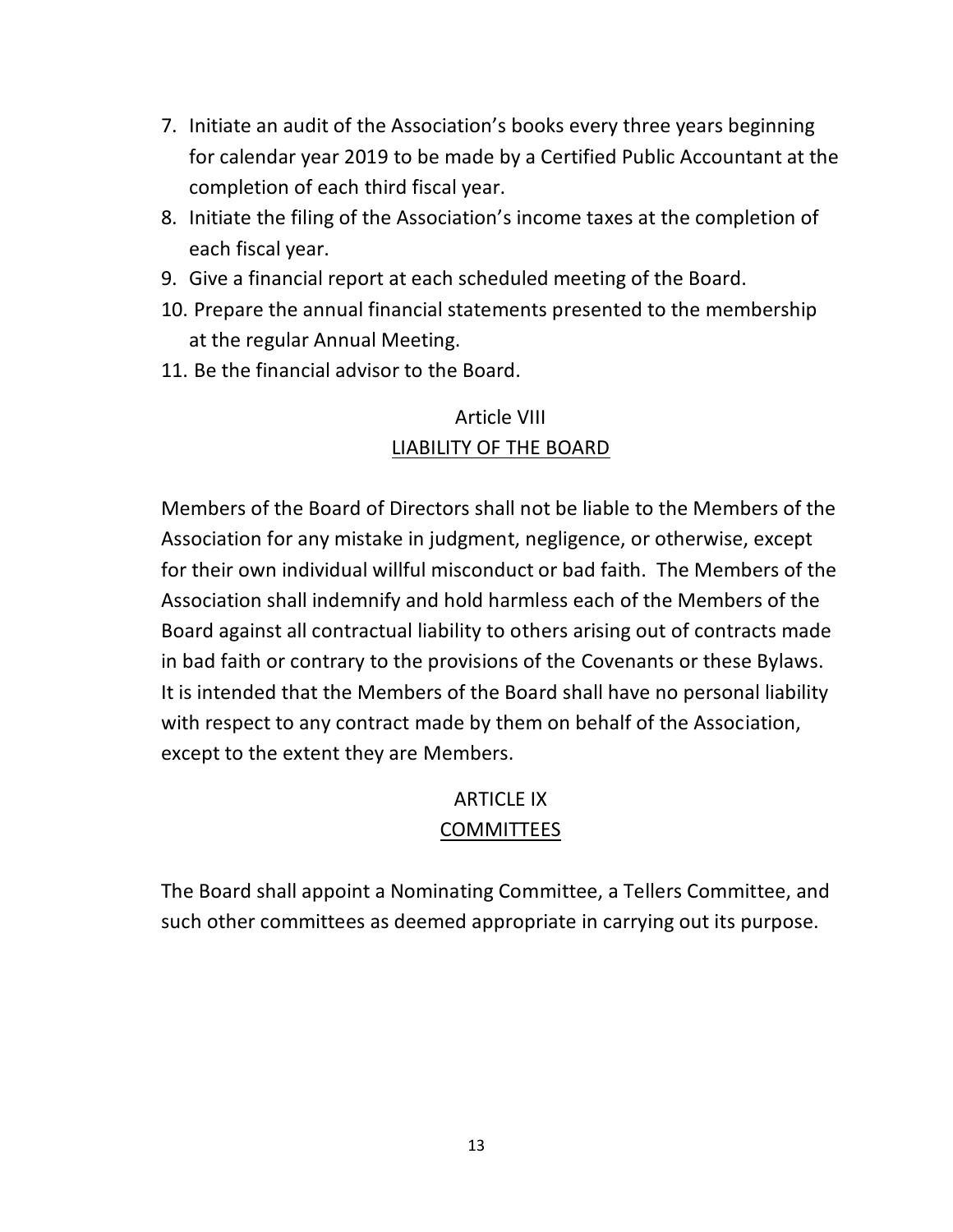- 7. Initiate an audit of the Association's books every three years beginning for calendar year 2019 to be made by a Certified Public Accountant at the completion of each third fiscal year.
- 8. Initiate the filing of the Association's income taxes at the completion of each fiscal year.
- 9. Give a financial report at each scheduled meeting of the Board.
- 10. Prepare the annual financial statements presented to the membership at the regular Annual Meeting.
- 11. Be the financial advisor to the Board.

# Article VIII LIABILITY OF THE BOARD

Members of the Board of Directors shall not be liable to the Members of the Association for any mistake in judgment, negligence, or otherwise, except for their own individual willful misconduct or bad faith. The Members of the Association shall indemnify and hold harmless each of the Members of the Board against all contractual liability to others arising out of contracts made in bad faith or contrary to the provisions of the Covenants or these Bylaws. It is intended that the Members of the Board shall have no personal liability with respect to any contract made by them on behalf of the Association, except to the extent they are Members.

### ARTICLE IX

### COMMITTEES

The Board shall appoint a Nominating Committee, a Tellers Committee, and such other committees as deemed appropriate in carrying out its purpose.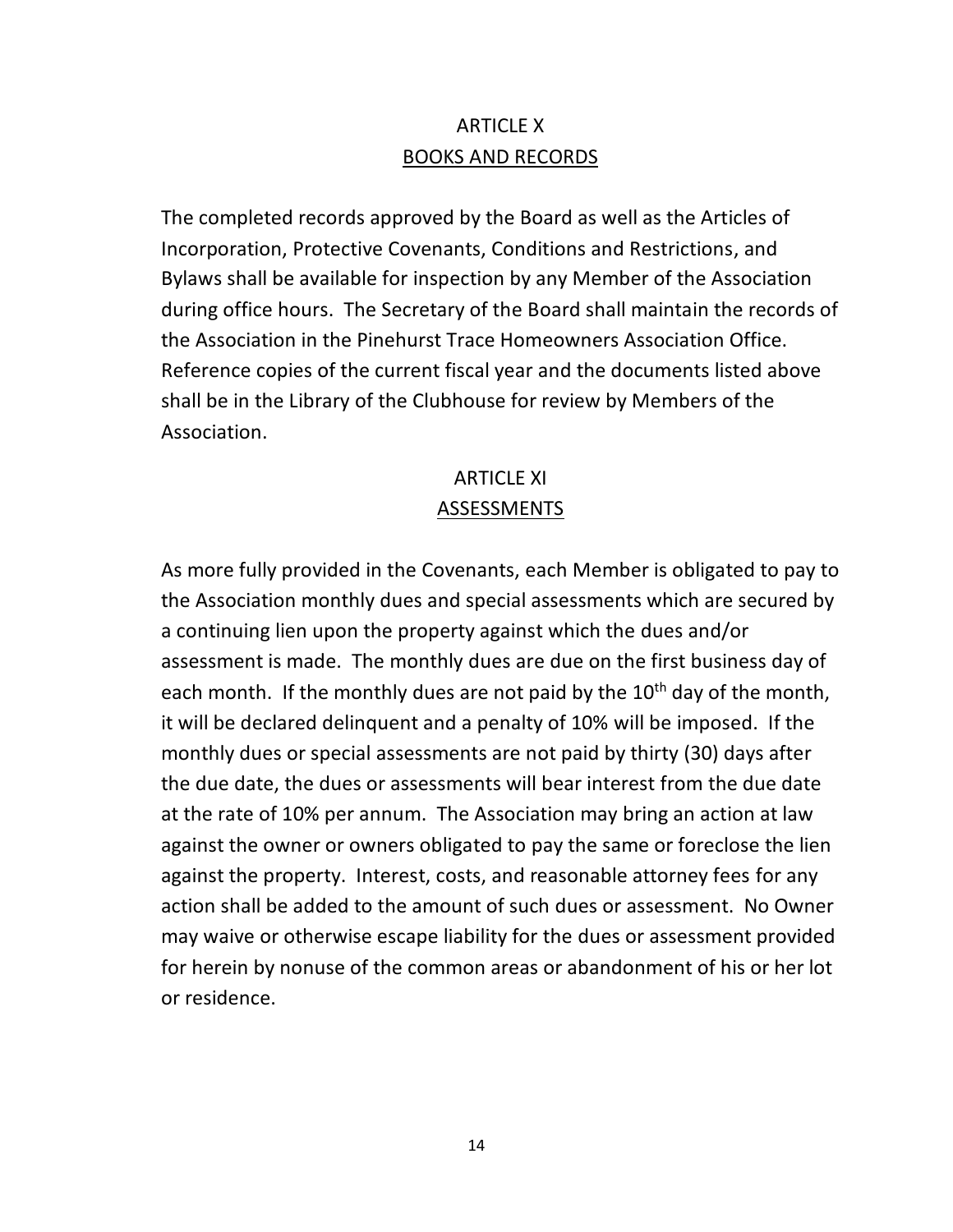## ARTICLE X BOOKS AND RECORDS

The completed records approved by the Board as well as the Articles of Incorporation, Protective Covenants, Conditions and Restrictions, and Bylaws shall be available for inspection by any Member of the Association during office hours. The Secretary of the Board shall maintain the records of the Association in the Pinehurst Trace Homeowners Association Office. Reference copies of the current fiscal year and the documents listed above shall be in the Library of the Clubhouse for review by Members of the Association.

### ARTICLE XI ASSESSMENTS

As more fully provided in the Covenants, each Member is obligated to pay to the Association monthly dues and special assessments which are secured by a continuing lien upon the property against which the dues and/or assessment is made. The monthly dues are due on the first business day of each month. If the monthly dues are not paid by the  $10<sup>th</sup>$  day of the month, it will be declared delinquent and a penalty of 10% will be imposed. If the monthly dues or special assessments are not paid by thirty (30) days after the due date, the dues or assessments will bear interest from the due date at the rate of 10% per annum. The Association may bring an action at law against the owner or owners obligated to pay the same or foreclose the lien against the property. Interest, costs, and reasonable attorney fees for any action shall be added to the amount of such dues or assessment. No Owner may waive or otherwise escape liability for the dues or assessment provided for herein by nonuse of the common areas or abandonment of his or her lot or residence.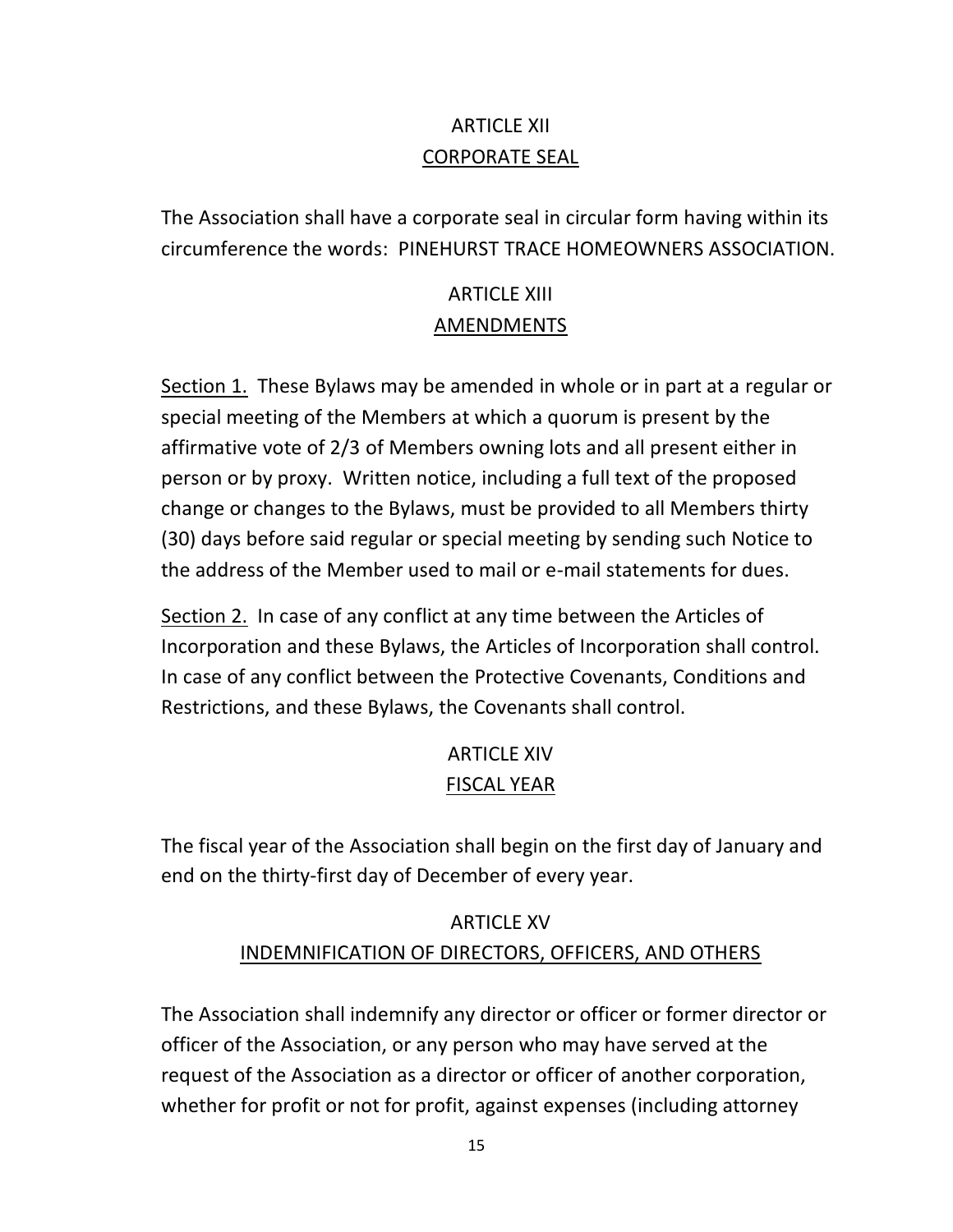# ARTICLE XII CORPORATE SEAL

The Association shall have a corporate seal in circular form having within its circumference the words: PINEHURST TRACE HOMEOWNERS ASSOCIATION.

#### **ARTICLE XIII** AMENDMENTS

Section 1. These Bylaws may be amended in whole or in part at a regular or special meeting of the Members at which a quorum is present by the affirmative vote of 2/3 of Members owning lots and all present either in person or by proxy. Written notice, including a full text of the proposed change or changes to the Bylaws, must be provided to all Members thirty (30) days before said regular or special meeting by sending such Notice to the address of the Member used to mail or e-mail statements for dues.

Section 2. In case of any conflict at any time between the Articles of Incorporation and these Bylaws, the Articles of Incorporation shall control. In case of any conflict between the Protective Covenants, Conditions and Restrictions, and these Bylaws, the Covenants shall control.

# ARTICLE XIV FISCAL YEAR

The fiscal year of the Association shall begin on the first day of January and end on the thirty-first day of December of every year.

# **ARTICLE XV** INDEMNIFICATION OF DIRECTORS, OFFICERS, AND OTHERS

The Association shall indemnify any director or officer or former director or officer of the Association, or any person who may have served at the request of the Association as a director or officer of another corporation, whether for profit or not for profit, against expenses (including attorney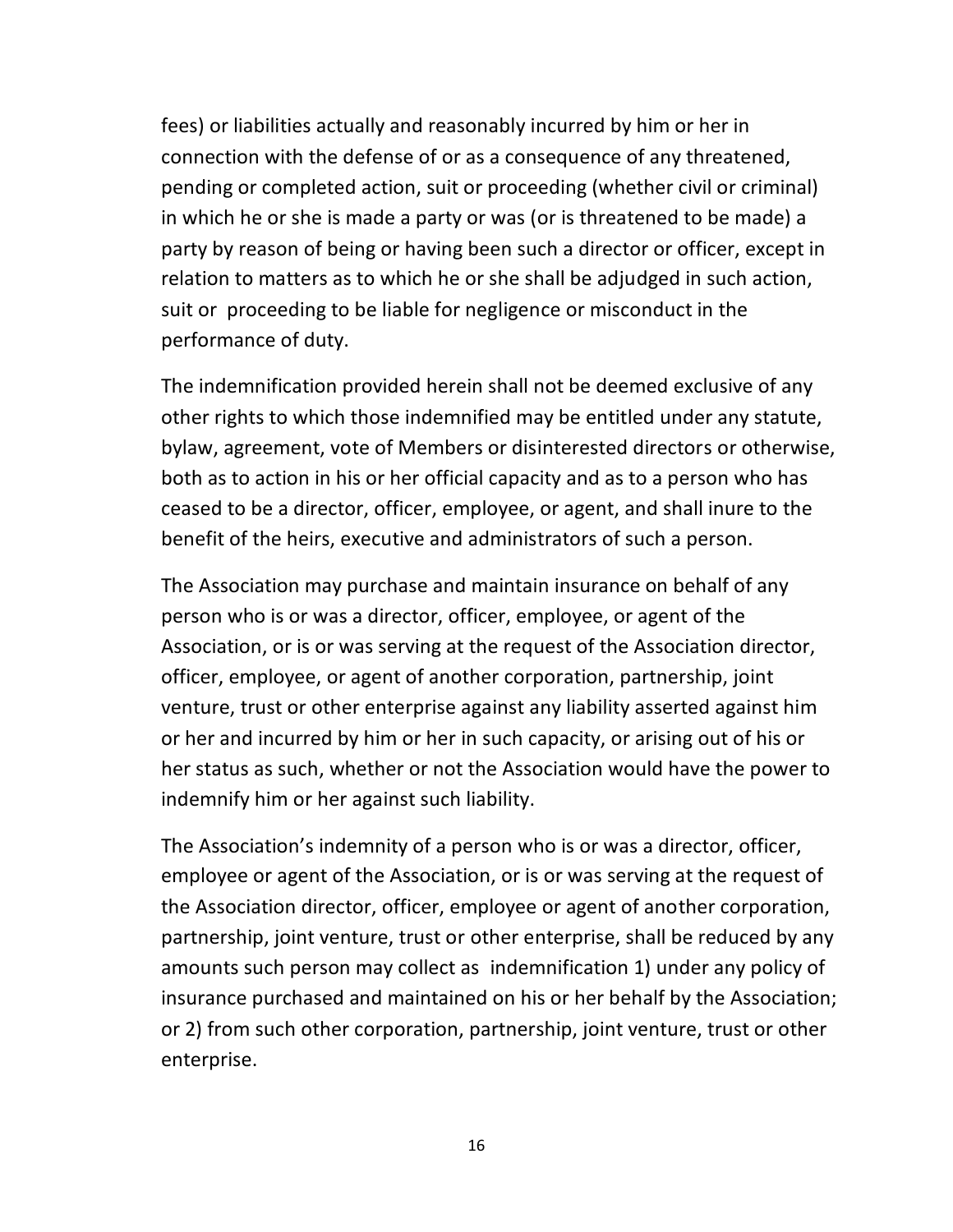fees) or liabilities actually and reasonably incurred by him or her in connection with the defense of or as a consequence of any threatened, pending or completed action, suit or proceeding (whether civil or criminal) in which he or she is made a party or was (or is threatened to be made) a party by reason of being or having been such a director or officer, except in relation to matters as to which he or she shall be adjudged in such action, suit or proceeding to be liable for negligence or misconduct in the performance of duty.

The indemnification provided herein shall not be deemed exclusive of any other rights to which those indemnified may be entitled under any statute, bylaw, agreement, vote of Members or disinterested directors or otherwise, both as to action in his or her official capacity and as to a person who has ceased to be a director, officer, employee, or agent, and shall inure to the benefit of the heirs, executive and administrators of such a person.

The Association may purchase and maintain insurance on behalf of any person who is or was a director, officer, employee, or agent of the Association, or is or was serving at the request of the Association director, officer, employee, or agent of another corporation, partnership, joint venture, trust or other enterprise against any liability asserted against him or her and incurred by him or her in such capacity, or arising out of his or her status as such, whether or not the Association would have the power to indemnify him or her against such liability.

The Association's indemnity of a person who is or was a director, officer, employee or agent of the Association, or is or was serving at the request of the Association director, officer, employee or agent of another corporation, partnership, joint venture, trust or other enterprise, shall be reduced by any amounts such person may collect as indemnification 1) under any policy of insurance purchased and maintained on his or her behalf by the Association; or 2) from such other corporation, partnership, joint venture, trust or other enterprise.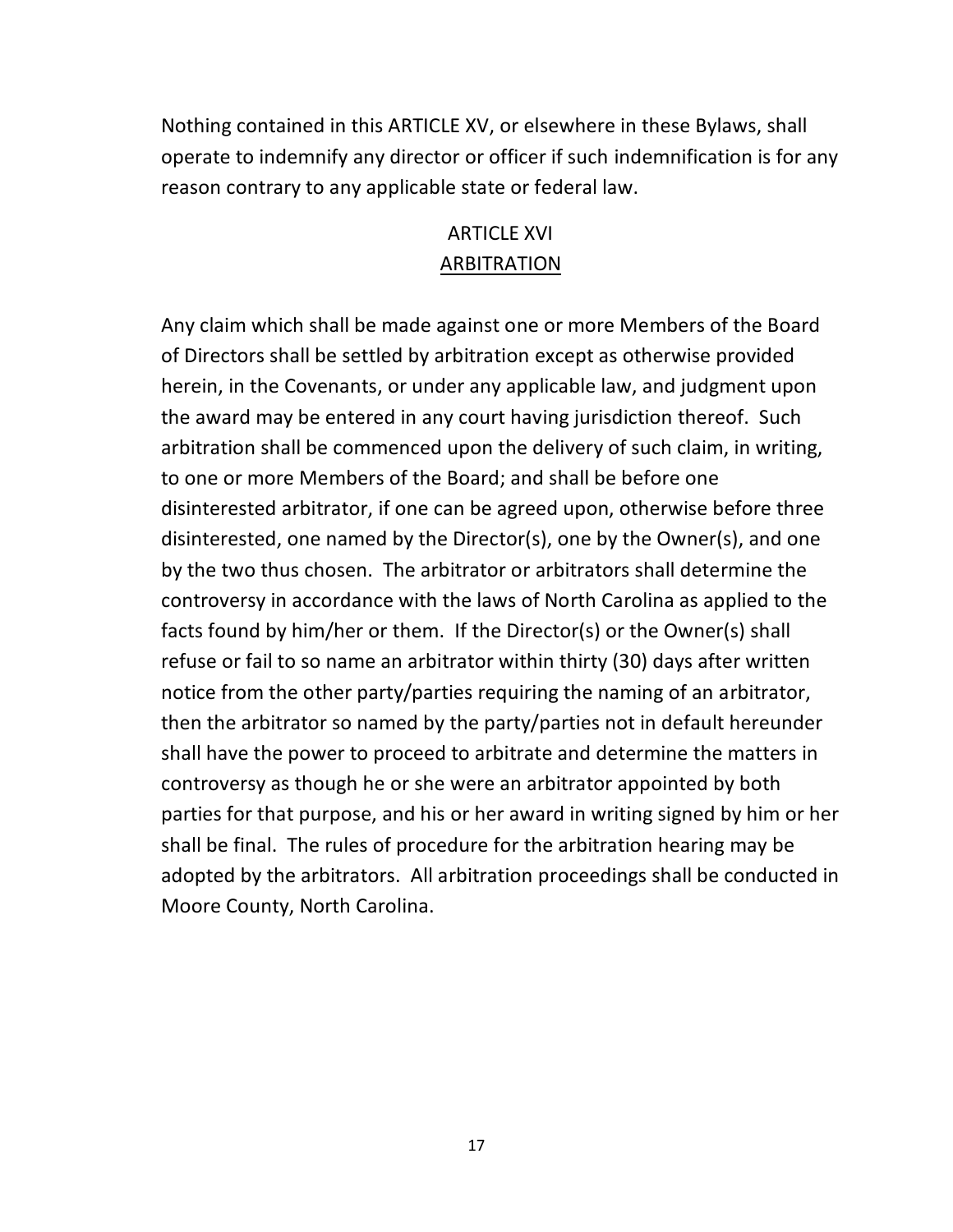Nothing contained in this ARTICLE XV, or elsewhere in these Bylaws, shall operate to indemnify any director or officer if such indemnification is for any reason contrary to any applicable state or federal law.

### ARTICLE XVI ARBITRATION

Any claim which shall be made against one or more Members of the Board of Directors shall be settled by arbitration except as otherwise provided herein, in the Covenants, or under any applicable law, and judgment upon the award may be entered in any court having jurisdiction thereof. Such arbitration shall be commenced upon the delivery of such claim, in writing, to one or more Members of the Board; and shall be before one disinterested arbitrator, if one can be agreed upon, otherwise before three disinterested, one named by the Director(s), one by the Owner(s), and one by the two thus chosen. The arbitrator or arbitrators shall determine the controversy in accordance with the laws of North Carolina as applied to the facts found by him/her or them. If the Director(s) or the Owner(s) shall refuse or fail to so name an arbitrator within thirty (30) days after written notice from the other party/parties requiring the naming of an arbitrator, then the arbitrator so named by the party/parties not in default hereunder shall have the power to proceed to arbitrate and determine the matters in controversy as though he or she were an arbitrator appointed by both parties for that purpose, and his or her award in writing signed by him or her shall be final. The rules of procedure for the arbitration hearing may be adopted by the arbitrators. All arbitration proceedings shall be conducted in Moore County, North Carolina.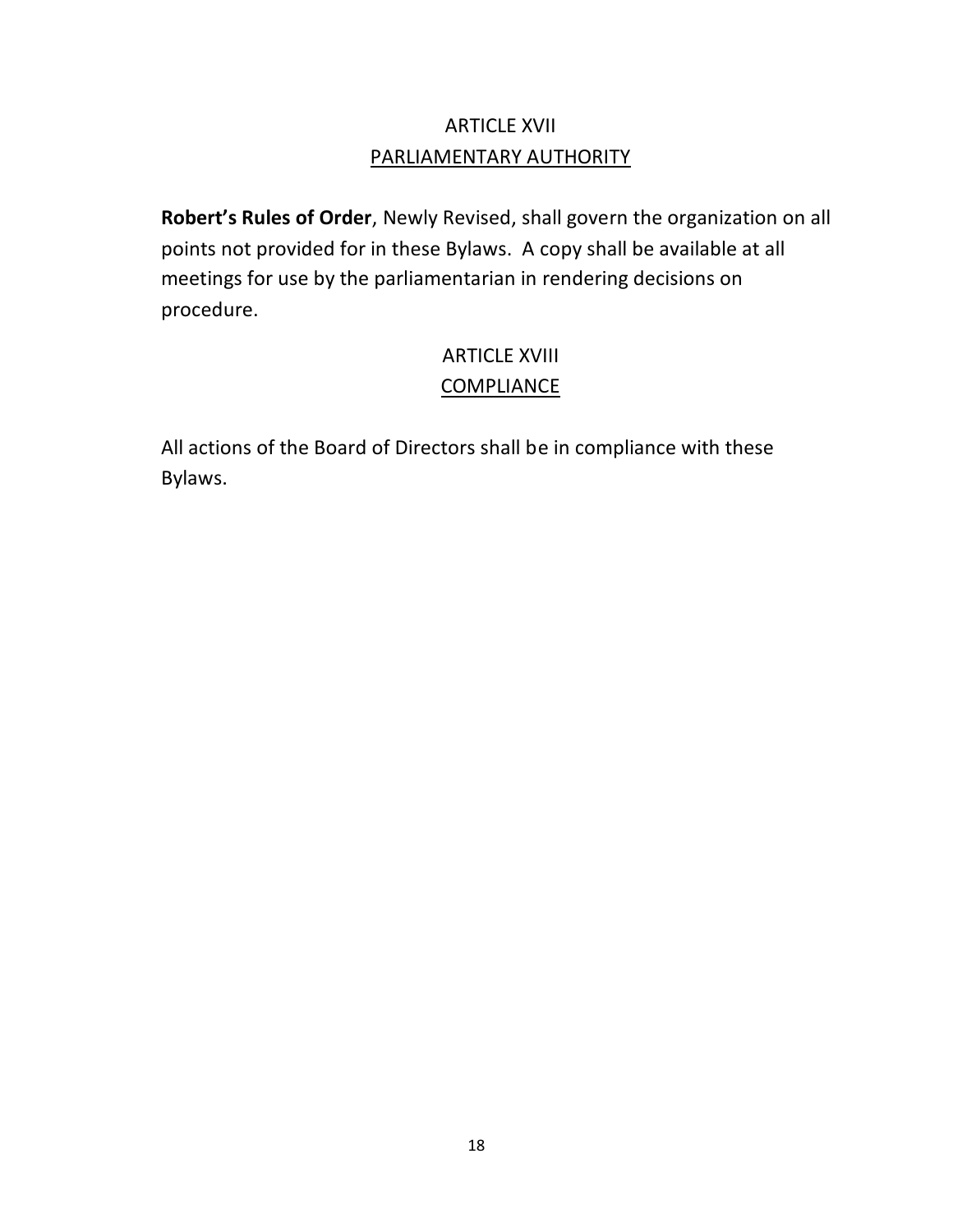# ARTICLE XVII PARLIAMENTARY AUTHORITY

**Robert's Rules of Order**, Newly Revised, shall govern the organization on all points not provided for in these Bylaws. A copy shall be available at all meetings for use by the parliamentarian in rendering decisions on procedure.

### ARTICLE XVIII COMPLIANCE

All actions of the Board of Directors shall be in compliance with these Bylaws.